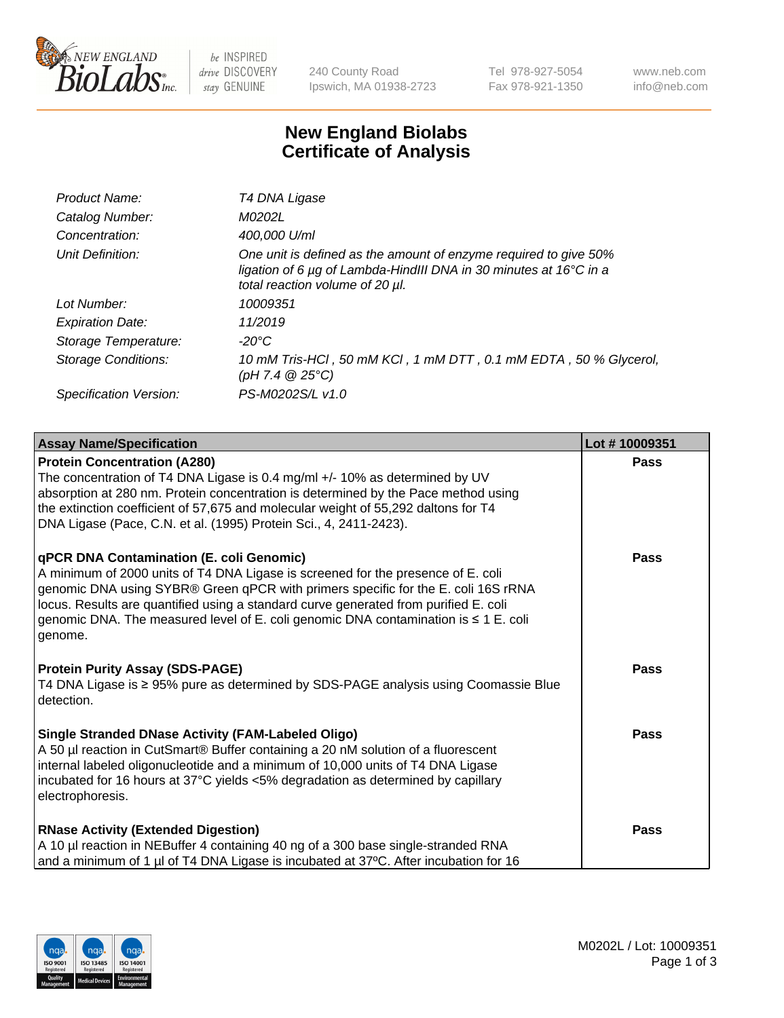

 $be$  INSPIRED drive DISCOVERY stay GENUINE

240 County Road Ipswich, MA 01938-2723 Tel 978-927-5054 Fax 978-921-1350 www.neb.com info@neb.com

## **New England Biolabs Certificate of Analysis**

| Product Name:              | T4 DNA Ligase                                                                                                                                                            |
|----------------------------|--------------------------------------------------------------------------------------------------------------------------------------------------------------------------|
| Catalog Number:            | M0202L                                                                                                                                                                   |
| Concentration:             | 400,000 U/ml                                                                                                                                                             |
| Unit Definition:           | One unit is defined as the amount of enzyme required to give 50%<br>ligation of 6 µg of Lambda-HindIII DNA in 30 minutes at 16°C in a<br>total reaction volume of 20 µl. |
| Lot Number:                | 10009351                                                                                                                                                                 |
| <b>Expiration Date:</b>    | 11/2019                                                                                                                                                                  |
| Storage Temperature:       | -20°C                                                                                                                                                                    |
| <b>Storage Conditions:</b> | 10 mM Tris-HCl, 50 mM KCl, 1 mM DTT, 0.1 mM EDTA, 50 % Glycerol,<br>(pH 7.4 $@25°C$ )                                                                                    |
| Specification Version:     | PS-M0202S/L v1.0                                                                                                                                                         |
|                            |                                                                                                                                                                          |

| <b>Assay Name/Specification</b>                                                                                                                                                                                                                                                                                                                                                                             | Lot #10009351 |
|-------------------------------------------------------------------------------------------------------------------------------------------------------------------------------------------------------------------------------------------------------------------------------------------------------------------------------------------------------------------------------------------------------------|---------------|
| <b>Protein Concentration (A280)</b><br>The concentration of T4 DNA Ligase is 0.4 mg/ml +/- 10% as determined by UV<br>absorption at 280 nm. Protein concentration is determined by the Pace method using<br>the extinction coefficient of 57,675 and molecular weight of 55,292 daltons for T4<br>DNA Ligase (Pace, C.N. et al. (1995) Protein Sci., 4, 2411-2423).                                         | <b>Pass</b>   |
| qPCR DNA Contamination (E. coli Genomic)<br>A minimum of 2000 units of T4 DNA Ligase is screened for the presence of E. coli<br>genomic DNA using SYBR® Green qPCR with primers specific for the E. coli 16S rRNA<br>locus. Results are quantified using a standard curve generated from purified E. coli<br>genomic DNA. The measured level of E. coli genomic DNA contamination is ≤ 1 E. coli<br>genome. | <b>Pass</b>   |
| <b>Protein Purity Assay (SDS-PAGE)</b><br>T4 DNA Ligase is ≥ 95% pure as determined by SDS-PAGE analysis using Coomassie Blue<br>detection.                                                                                                                                                                                                                                                                 | <b>Pass</b>   |
| <b>Single Stranded DNase Activity (FAM-Labeled Oligo)</b><br>A 50 µl reaction in CutSmart® Buffer containing a 20 nM solution of a fluorescent<br>internal labeled oligonucleotide and a minimum of 10,000 units of T4 DNA Ligase<br>incubated for 16 hours at 37°C yields <5% degradation as determined by capillary<br>electrophoresis.                                                                   | <b>Pass</b>   |
| <b>RNase Activity (Extended Digestion)</b><br>A 10 µl reaction in NEBuffer 4 containing 40 ng of a 300 base single-stranded RNA<br>and a minimum of 1 µl of T4 DNA Ligase is incubated at 37°C. After incubation for 16                                                                                                                                                                                     | <b>Pass</b>   |

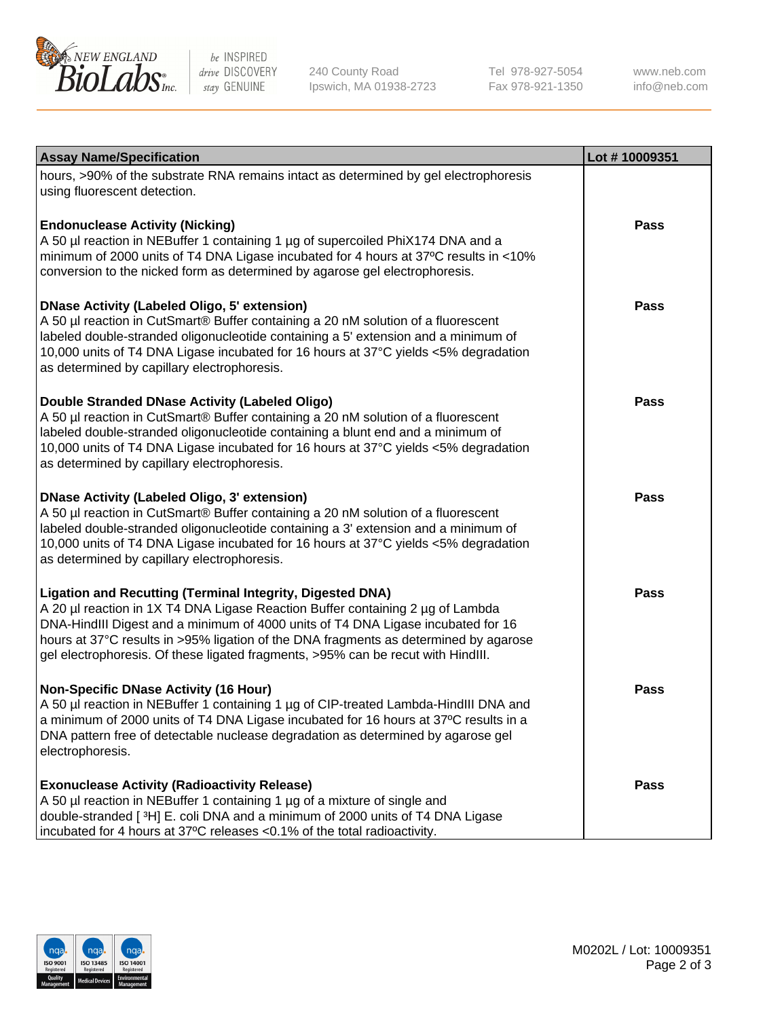

be INSPIRED drive DISCOVERY stay GENUINE

240 County Road Ipswich, MA 01938-2723 Tel 978-927-5054 Fax 978-921-1350

www.neb.com info@neb.com

| <b>Assay Name/Specification</b>                                                                                                                                                                                                                                                                                                                                                                                    | Lot #10009351 |
|--------------------------------------------------------------------------------------------------------------------------------------------------------------------------------------------------------------------------------------------------------------------------------------------------------------------------------------------------------------------------------------------------------------------|---------------|
| hours, >90% of the substrate RNA remains intact as determined by gel electrophoresis<br>using fluorescent detection.                                                                                                                                                                                                                                                                                               |               |
| <b>Endonuclease Activity (Nicking)</b><br>A 50 µl reaction in NEBuffer 1 containing 1 µg of supercoiled PhiX174 DNA and a                                                                                                                                                                                                                                                                                          | <b>Pass</b>   |
| minimum of 2000 units of T4 DNA Ligase incubated for 4 hours at 37°C results in <10%<br>conversion to the nicked form as determined by agarose gel electrophoresis.                                                                                                                                                                                                                                                |               |
| <b>DNase Activity (Labeled Oligo, 5' extension)</b><br>A 50 µl reaction in CutSmart® Buffer containing a 20 nM solution of a fluorescent<br>labeled double-stranded oligonucleotide containing a 5' extension and a minimum of<br>10,000 units of T4 DNA Ligase incubated for 16 hours at 37°C yields <5% degradation<br>as determined by capillary electrophoresis.                                               | <b>Pass</b>   |
| Double Stranded DNase Activity (Labeled Oligo)<br>A 50 µl reaction in CutSmart® Buffer containing a 20 nM solution of a fluorescent<br>labeled double-stranded oligonucleotide containing a blunt end and a minimum of<br>10,000 units of T4 DNA Ligase incubated for 16 hours at 37°C yields <5% degradation<br>as determined by capillary electrophoresis.                                                       | Pass          |
| <b>DNase Activity (Labeled Oligo, 3' extension)</b><br>A 50 µl reaction in CutSmart® Buffer containing a 20 nM solution of a fluorescent<br>labeled double-stranded oligonucleotide containing a 3' extension and a minimum of<br>10,000 units of T4 DNA Ligase incubated for 16 hours at 37°C yields <5% degradation<br>as determined by capillary electrophoresis.                                               | Pass          |
| <b>Ligation and Recutting (Terminal Integrity, Digested DNA)</b><br>A 20 µl reaction in 1X T4 DNA Ligase Reaction Buffer containing 2 µg of Lambda<br>DNA-HindIII Digest and a minimum of 4000 units of T4 DNA Ligase incubated for 16<br>hours at 37°C results in >95% ligation of the DNA fragments as determined by agarose<br>gel electrophoresis. Of these ligated fragments, >95% can be recut with HindIII. | <b>Pass</b>   |
| <b>Non-Specific DNase Activity (16 Hour)</b><br>A 50 µl reaction in NEBuffer 1 containing 1 µg of CIP-treated Lambda-HindIII DNA and<br>a minimum of 2000 units of T4 DNA Ligase incubated for 16 hours at 37°C results in a<br>DNA pattern free of detectable nuclease degradation as determined by agarose gel<br>electrophoresis.                                                                               | Pass          |
| <b>Exonuclease Activity (Radioactivity Release)</b><br>A 50 µl reaction in NEBuffer 1 containing 1 µg of a mixture of single and<br>double-stranded [3H] E. coli DNA and a minimum of 2000 units of T4 DNA Ligase<br>incubated for 4 hours at 37°C releases <0.1% of the total radioactivity.                                                                                                                      | Pass          |